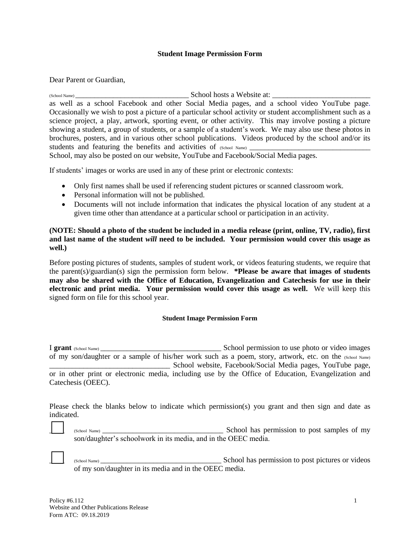## **Student Image Permission Form**

Dear Parent or Guardian,

(School Name)  $\bullet$  School hosts a Website at: as well as a school Facebook and other Social Media pages, and a school video YouTube page. Occasionally we wish to post a picture of a particular school activity or student accomplishment such as a science project, a play, artwork, sporting event, or other activity. This may involve posting a picture showing a student, a group of students, or a sample of a student's work. We may also use these photos in brochures, posters, and in various other school publications. Videos produced by the school and/or its students and featuring the benefits and activities of  $(School Name)$ 

School, may also be posted on our website, YouTube and Facebook/Social Media pages.

If students' images or works are used in any of these print or electronic contexts:

- Only first names shall be used if referencing student pictures or scanned classroom work.
- Personal information will not be published.
- Documents will not include information that indicates the physical location of any student at a given time other than attendance at a particular school or participation in an activity.

**(NOTE: Should a photo of the student be included in a media release (print, online, TV, radio), first and last name of the student** *will* **need to be included. Your permission would cover this usage as well.)** 

Before posting pictures of students, samples of student work, or videos featuring students, we require that the parent(s)/guardian(s) sign the permission form below. **\*Please be aware that images of students may also be shared with the Office of Education, Evangelization and Catechesis for use in their electronic and print media. Your permission would cover this usage as well.** We will keep this signed form on file for this school year.

## **Student Image Permission Form**

I **grant** (School Name) \_\_\_\_\_\_\_\_\_\_\_\_\_\_\_\_\_\_\_\_\_\_\_\_\_\_\_\_\_\_\_\_ School permission to use photo or video images of my son/daughter or a sample of his/her work such as a poem, story, artwork, etc. on the (School Name) School website, Facebook/Social Media pages, YouTube page, or in other print or electronic media, including use by the Office of Education, Evangelization and Catechesis (OEEC).

Please check the blanks below to indicate which permission(s) you grant and then sign and date as indicated.

\_\_\_\_ (School Name) \_\_\_\_\_\_\_\_\_\_\_\_\_\_\_\_\_\_\_\_\_\_\_\_\_\_\_\_\_\_\_\_ School has permission to post samples of my son/daughter's schoolwork in its media, and in the OEEC media.

\_\_\_\_ (School Name) \_\_\_\_\_\_\_\_\_\_\_\_\_\_\_\_\_\_\_\_\_\_\_\_\_\_\_\_\_\_\_\_ School has permission to post pictures or videos of my son/daughter in its media and in the OEEC media.